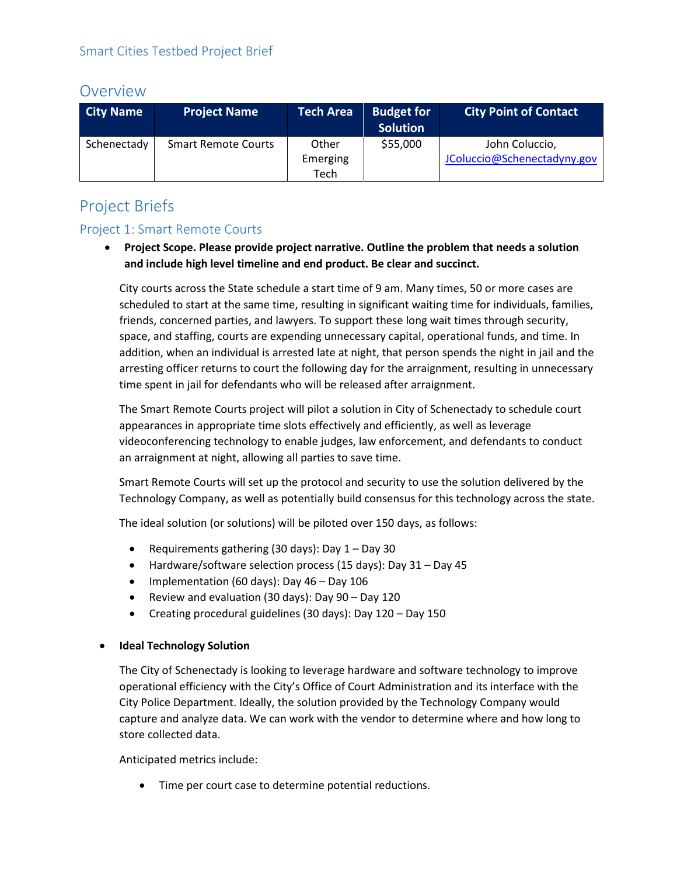# Overview

| <b>City Name</b> | <b>Project Name</b>        | <b>Tech Area</b> | <b>Budget for</b><br><b>Solution</b> | <b>City Point of Contact</b> |
|------------------|----------------------------|------------------|--------------------------------------|------------------------------|
| Schenectady      | <b>Smart Remote Courts</b> | Other            | \$55,000                             | John Coluccio,               |
|                  |                            | Emerging         |                                      | JColuccio@Schenectadyny.gov  |
|                  |                            | Tech             |                                      |                              |

# Project Briefs

# Project 1: Smart Remote Courts

• **Project Scope. Please provide project narrative. Outline the problem that needs a solution and include high level timeline and end product. Be clear and succinct.**

City courts across the State schedule a start time of 9 am. Many times, 50 or more cases are scheduled to start at the same time, resulting in significant waiting time for individuals, families, friends, concerned parties, and lawyers. To support these long wait times through security, space, and staffing, courts are expending unnecessary capital, operational funds, and time. In addition, when an individual is arrested late at night, that person spends the night in jail and the arresting officer returns to court the following day for the arraignment, resulting in unnecessary time spent in jail for defendants who will be released after arraignment.

The Smart Remote Courts project will pilot a solution in City of Schenectady to schedule court appearances in appropriate time slots effectively and efficiently, as well as leverage videoconferencing technology to enable judges, law enforcement, and defendants to conduct an arraignment at night, allowing all parties to save time.

Smart Remote Courts will set up the protocol and security to use the solution delivered by the Technology Company, as well as potentially build consensus for this technology across the state.

The ideal solution (or solutions) will be piloted over 150 days, as follows:

- Requirements gathering (30 days): Day 1 Day 30
- Hardware/software selection process (15 days): Day 31 Day 45
- Implementation (60 days): Day 46 Day 106
- Review and evaluation (30 days): Day 90 Day 120
- Creating procedural guidelines (30 days): Day 120 Day 150

### • **Ideal Technology Solution**

The City of Schenectady is looking to leverage hardware and software technology to improve operational efficiency with the City's Office of Court Administration and its interface with the City Police Department. Ideally, the solution provided by the Technology Company would capture and analyze data. We can work with the vendor to determine where and how long to store collected data.

Anticipated metrics include:

• Time per court case to determine potential reductions.